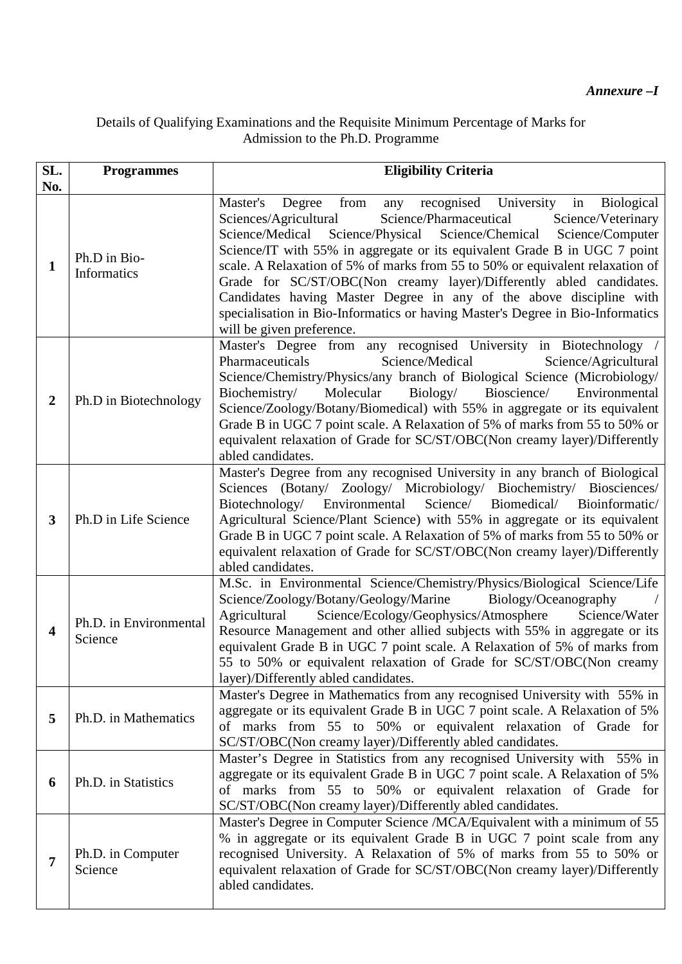## Details of Qualifying Examinations and the Requisite Minimum Percentage of Marks for Admission to the Ph.D. Programme

| SL.<br>No.     | <b>Programmes</b>                  | <b>Eligibility Criteria</b>                                                                                                                                                                                                                                                                                                                                                                                                                                                                                                                                                                                                                        |
|----------------|------------------------------------|----------------------------------------------------------------------------------------------------------------------------------------------------------------------------------------------------------------------------------------------------------------------------------------------------------------------------------------------------------------------------------------------------------------------------------------------------------------------------------------------------------------------------------------------------------------------------------------------------------------------------------------------------|
| $\mathbf{1}$   | Ph.D in Bio-<br><b>Informatics</b> | Master's Degree<br>recognised University in Biological<br>from<br>any<br>Science/Pharmaceutical<br>Sciences/Agricultural<br>Science/Veterinary<br>Science/Medical<br>Science/Physical Science/Chemical Science/Computer<br>Science/IT with 55% in aggregate or its equivalent Grade B in UGC 7 point<br>scale. A Relaxation of 5% of marks from 55 to 50% or equivalent relaxation of<br>Grade for SC/ST/OBC(Non creamy layer)/Differently abled candidates.<br>Candidates having Master Degree in any of the above discipline with<br>specialisation in Bio-Informatics or having Master's Degree in Bio-Informatics<br>will be given preference. |
| $\overline{2}$ | Ph.D in Biotechnology              | Master's Degree from any recognised University in Biotechnology /<br>Pharmaceuticals<br>Science/Medical<br>Science/Agricultural<br>Science/Chemistry/Physics/any branch of Biological Science (Microbiology/<br>Biochemistry/<br>Molecular<br>Biology/<br>Bioscience/<br>Environmental<br>Science/Zoology/Botany/Biomedical) with 55% in aggregate or its equivalent<br>Grade B in UGC 7 point scale. A Relaxation of 5% of marks from 55 to 50% or<br>equivalent relaxation of Grade for SC/ST/OBC(Non creamy layer)/Differently<br>abled candidates.                                                                                             |
| 3              | Ph.D in Life Science               | Master's Degree from any recognised University in any branch of Biological<br>Sciences (Botany/ Zoology/ Microbiology/ Biochemistry/ Biosciences/<br>Environmental<br>Science/<br>Biomedical/<br>Bioinformatic/<br>Biotechnology/<br>Agricultural Science/Plant Science) with 55% in aggregate or its equivalent<br>Grade B in UGC 7 point scale. A Relaxation of 5% of marks from 55 to 50% or<br>equivalent relaxation of Grade for SC/ST/OBC(Non creamy layer)/Differently<br>abled candidates.                                                                                                                                                 |
| 4              | Ph.D. in Environmental<br>Science  | M.Sc. in Environmental Science/Chemistry/Physics/Biological Science/Life<br>Science/Zoology/Botany/Geology/Marine<br>Biology/Oceanography<br>Science/Ecology/Geophysics/Atmosphere<br>Agricultural<br>Science/Water<br>Resource Management and other allied subjects with 55% in aggregate or its<br>equivalent Grade B in UGC 7 point scale. A Relaxation of 5% of marks from<br>55 to 50% or equivalent relaxation of Grade for SC/ST/OBC(Non creamy<br>layer)/Differently abled candidates.                                                                                                                                                     |
| 5              | Ph.D. in Mathematics               | Master's Degree in Mathematics from any recognised University with 55% in<br>aggregate or its equivalent Grade B in UGC 7 point scale. A Relaxation of 5%<br>of marks from 55 to 50% or equivalent relaxation of Grade for<br>SC/ST/OBC(Non creamy layer)/Differently abled candidates.                                                                                                                                                                                                                                                                                                                                                            |
| 6              | Ph.D. in Statistics                | Master's Degree in Statistics from any recognised University with 55% in<br>aggregate or its equivalent Grade B in UGC 7 point scale. A Relaxation of 5%<br>of marks from 55 to 50% or equivalent relaxation of Grade for<br>SC/ST/OBC(Non creamy layer)/Differently abled candidates.                                                                                                                                                                                                                                                                                                                                                             |
| 7              | Ph.D. in Computer<br>Science       | Master's Degree in Computer Science /MCA/Equivalent with a minimum of 55<br>% in aggregate or its equivalent Grade B in UGC 7 point scale from any<br>recognised University. A Relaxation of 5% of marks from 55 to 50% or<br>equivalent relaxation of Grade for SC/ST/OBC(Non creamy layer)/Differently<br>abled candidates.                                                                                                                                                                                                                                                                                                                      |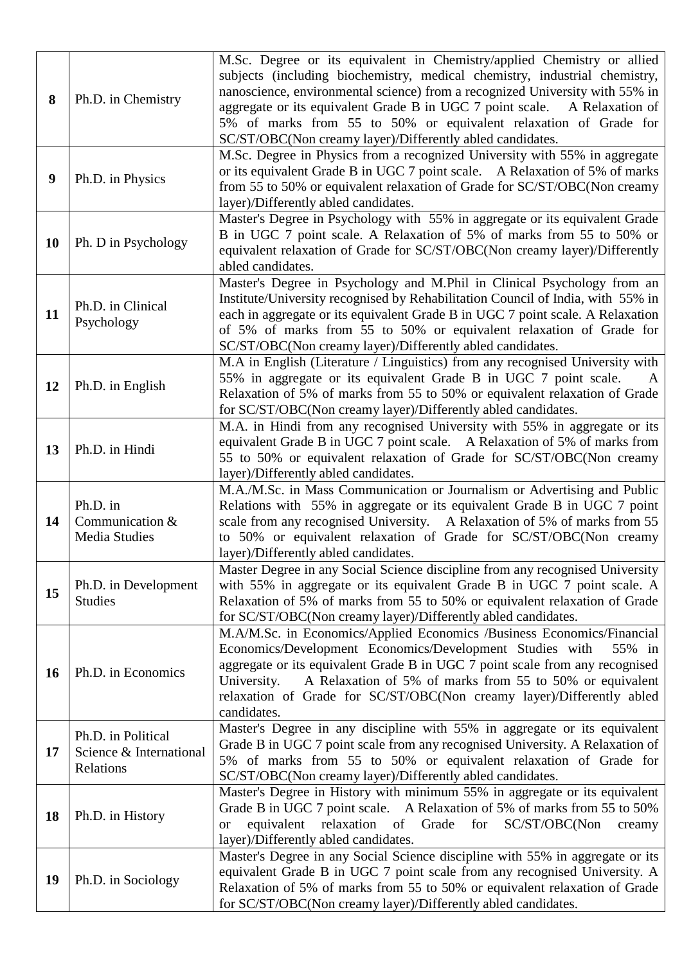| 8         | Ph.D. in Chemistry                                         | M.Sc. Degree or its equivalent in Chemistry/applied Chemistry or allied<br>subjects (including biochemistry, medical chemistry, industrial chemistry,<br>nanoscience, environmental science) from a recognized University with 55% in<br>aggregate or its equivalent Grade B in UGC 7 point scale.<br>A Relaxation of<br>5% of marks from 55 to 50% or equivalent relaxation of Grade for<br>SC/ST/OBC(Non creamy layer)/Differently abled candidates. |
|-----------|------------------------------------------------------------|--------------------------------------------------------------------------------------------------------------------------------------------------------------------------------------------------------------------------------------------------------------------------------------------------------------------------------------------------------------------------------------------------------------------------------------------------------|
| 9         | Ph.D. in Physics                                           | M.Sc. Degree in Physics from a recognized University with 55% in aggregate<br>or its equivalent Grade B in UGC 7 point scale. A Relaxation of 5% of marks<br>from 55 to 50% or equivalent relaxation of Grade for SC/ST/OBC(Non creamy<br>layer)/Differently abled candidates.                                                                                                                                                                         |
| 10        | Ph. D in Psychology                                        | Master's Degree in Psychology with 55% in aggregate or its equivalent Grade<br>B in UGC 7 point scale. A Relaxation of 5% of marks from 55 to 50% or<br>equivalent relaxation of Grade for SC/ST/OBC(Non creamy layer)/Differently<br>abled candidates.                                                                                                                                                                                                |
| 11        | Ph.D. in Clinical<br>Psychology                            | Master's Degree in Psychology and M.Phil in Clinical Psychology from an<br>Institute/University recognised by Rehabilitation Council of India, with 55% in<br>each in aggregate or its equivalent Grade B in UGC 7 point scale. A Relaxation<br>of 5% of marks from 55 to 50% or equivalent relaxation of Grade for<br>SC/ST/OBC(Non creamy layer)/Differently abled candidates.                                                                       |
| 12        | Ph.D. in English                                           | M.A in English (Literature / Linguistics) from any recognised University with<br>55% in aggregate or its equivalent Grade B in UGC 7 point scale.<br>A<br>Relaxation of 5% of marks from 55 to 50% or equivalent relaxation of Grade<br>for SC/ST/OBC(Non creamy layer)/Differently abled candidates.                                                                                                                                                  |
| 13        | Ph.D. in Hindi                                             | M.A. in Hindi from any recognised University with 55% in aggregate or its<br>equivalent Grade B in UGC 7 point scale. A Relaxation of 5% of marks from<br>55 to 50% or equivalent relaxation of Grade for SC/ST/OBC(Non creamy<br>layer)/Differently abled candidates.                                                                                                                                                                                 |
| 14        | Ph.D. in<br>Communication &<br><b>Media Studies</b>        | M.A./M.Sc. in Mass Communication or Journalism or Advertising and Public<br>Relations with 55% in aggregate or its equivalent Grade B in UGC 7 point<br>scale from any recognised University. A Relaxation of 5% of marks from 55<br>to 50% or equivalent relaxation of Grade for SC/ST/OBC(Non creamy<br>layer)/Differently abled candidates.                                                                                                         |
| 15        | Ph.D. in Development<br><b>Studies</b>                     | Master Degree in any Social Science discipline from any recognised University<br>with 55% in aggregate or its equivalent Grade B in UGC 7 point scale. A<br>Relaxation of 5% of marks from 55 to 50% or equivalent relaxation of Grade<br>for SC/ST/OBC(Non creamy layer)/Differently abled candidates.                                                                                                                                                |
| <b>16</b> | Ph.D. in Economics                                         | M.A/M.Sc. in Economics/Applied Economics /Business Economics/Financial<br>Economics/Development Economics/Development Studies with<br>55% in<br>aggregate or its equivalent Grade B in UGC 7 point scale from any recognised<br>A Relaxation of 5% of marks from 55 to 50% or equivalent<br>University.<br>relaxation of Grade for SC/ST/OBC(Non creamy layer)/Differently abled<br>candidates.                                                        |
| 17        | Ph.D. in Political<br>Science & International<br>Relations | Master's Degree in any discipline with 55% in aggregate or its equivalent<br>Grade B in UGC 7 point scale from any recognised University. A Relaxation of<br>5% of marks from 55 to 50% or equivalent relaxation of Grade for<br>SC/ST/OBC(Non creamy layer)/Differently abled candidates.                                                                                                                                                             |
| 18        | Ph.D. in History                                           | Master's Degree in History with minimum 55% in aggregate or its equivalent<br>Grade B in UGC 7 point scale. A Relaxation of 5% of marks from 55 to 50%<br>equivalent relaxation of Grade<br>SC/ST/OBC(Non<br>for<br>creamy<br><b>or</b><br>layer)/Differently abled candidates.                                                                                                                                                                        |
| 19        | Ph.D. in Sociology                                         | Master's Degree in any Social Science discipline with 55% in aggregate or its<br>equivalent Grade B in UGC 7 point scale from any recognised University. A<br>Relaxation of 5% of marks from 55 to 50% or equivalent relaxation of Grade<br>for SC/ST/OBC(Non creamy layer)/Differently abled candidates.                                                                                                                                              |